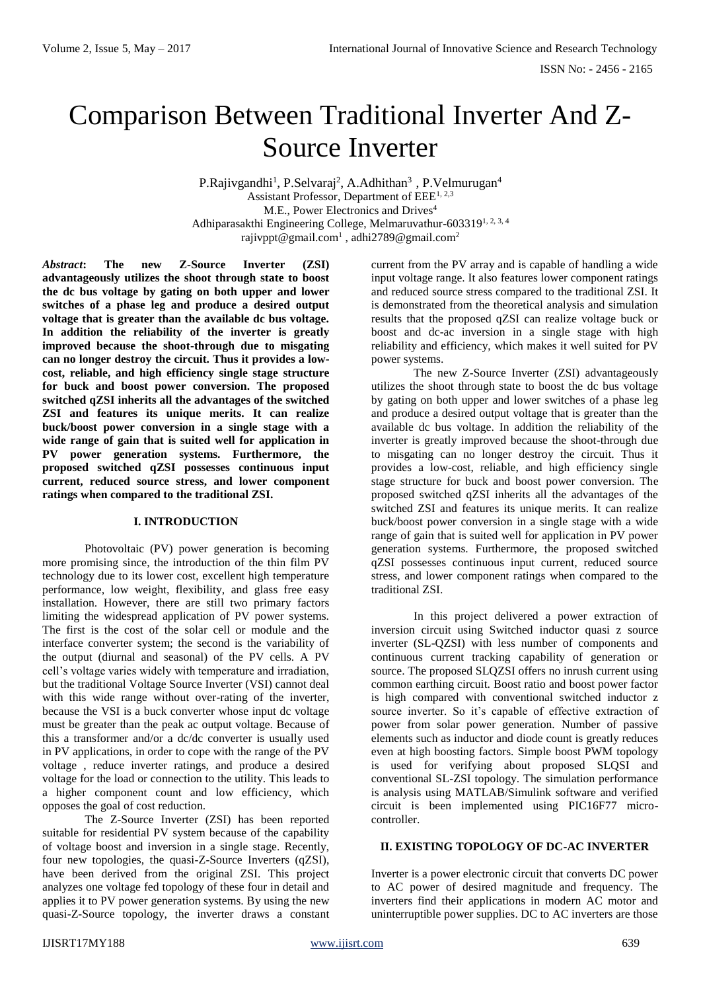# Comparison Between Traditional Inverter And Z-Source Inverter

P.Rajivgandhi<sup>1</sup>, P.Selvaraj<sup>2</sup>, A.Adhithan<sup>3</sup>, P.Velmurugan<sup>4</sup> Assistant Professor, Department of EEE1, 2,3 M.E., Power Electronics and Drives<sup>4</sup> Adhiparasakthi Engineering College, Melmaruvathur-6033191, 2, 3, 4 [rajivppt@gmail.com](mailto:rajivppt@gmail.com1)<sup>1</sup>, adhi2789@gmail.com<sup>2</sup>

*Abstract***: The new Z-Source Inverter (ZSI) advantageously utilizes the shoot through state to boost the dc bus voltage by gating on both upper and lower switches of a phase leg and produce a desired output voltage that is greater than the available dc bus voltage. In addition the reliability of the inverter is greatly improved because the shoot-through due to misgating can no longer destroy the circuit. Thus it provides a lowcost, reliable, and high efficiency single stage structure for buck and boost power conversion. The proposed switched qZSI inherits all the advantages of the switched ZSI and features its unique merits. It can realize buck/boost power conversion in a single stage with a wide range of gain that is suited well for application in PV power generation systems. Furthermore, the proposed switched qZSI possesses continuous input current, reduced source stress, and lower component ratings when compared to the traditional ZSI.**

# **I. INTRODUCTION**

Photovoltaic (PV) power generation is becoming more promising since, the introduction of the thin film PV technology due to its lower cost, excellent high temperature performance, low weight, flexibility, and glass free easy installation. However, there are still two primary factors limiting the widespread application of PV power systems. The first is the cost of the solar cell or module and the interface converter system; the second is the variability of the output (diurnal and seasonal) of the PV cells. A PV cell's voltage varies widely with temperature and irradiation, but the traditional Voltage Source Inverter (VSI) cannot deal with this wide range without over-rating of the inverter, because the VSI is a buck converter whose input dc voltage must be greater than the peak ac output voltage. Because of this a transformer and/or a dc/dc converter is usually used in PV applications, in order to cope with the range of the PV voltage , reduce inverter ratings, and produce a desired voltage for the load or connection to the utility. This leads to a higher component count and low efficiency, which opposes the goal of cost reduction.

The Z-Source Inverter (ZSI) has been reported suitable for residential PV system because of the capability of voltage boost and inversion in a single stage. Recently, four new topologies, the quasi-Z-Source Inverters (qZSI), have been derived from the original ZSI. This project analyzes one voltage fed topology of these four in detail and applies it to PV power generation systems. By using the new quasi-Z-Source topology, the inverter draws a constant

current from the PV array and is capable of handling a wide input voltage range. It also features lower component ratings and reduced source stress compared to the traditional ZSI. It is demonstrated from the theoretical analysis and simulation results that the proposed qZSI can realize voltage buck or boost and dc-ac inversion in a single stage with high reliability and efficiency, which makes it well suited for PV power systems.

The new Z-Source Inverter (ZSI) advantageously utilizes the shoot through state to boost the dc bus voltage by gating on both upper and lower switches of a phase leg and produce a desired output voltage that is greater than the available dc bus voltage. In addition the reliability of the inverter is greatly improved because the shoot-through due to misgating can no longer destroy the circuit. Thus it provides a low-cost, reliable, and high efficiency single stage structure for buck and boost power conversion. The proposed switched qZSI inherits all the advantages of the switched ZSI and features its unique merits. It can realize buck/boost power conversion in a single stage with a wide range of gain that is suited well for application in PV power generation systems. Furthermore, the proposed switched qZSI possesses continuous input current, reduced source stress, and lower component ratings when compared to the traditional ZSI.

In this project delivered a power extraction of inversion circuit using Switched inductor quasi z source inverter (SL-QZSI) with less number of components and continuous current tracking capability of generation or source. The proposed SLOZSI offers no inrush current using common earthing circuit. Boost ratio and boost power factor is high compared with conventional switched inductor z source inverter. So it's capable of effective extraction of power from solar power generation. Number of passive elements such as inductor and diode count is greatly reduces even at high boosting factors. Simple boost PWM topology is used for verifying about proposed SLQSI and conventional SL-ZSI topology. The simulation performance is analysis using MATLAB/Simulink software and verified circuit is been implemented using PIC16F77 microcontroller.

# **II. EXISTING TOPOLOGY OF DC-AC INVERTER**

Inverter is a power electronic circuit that converts DC power to AC power of desired magnitude and frequency. The inverters find their applications in modern AC motor and uninterruptible power supplies. DC to AC inverters are those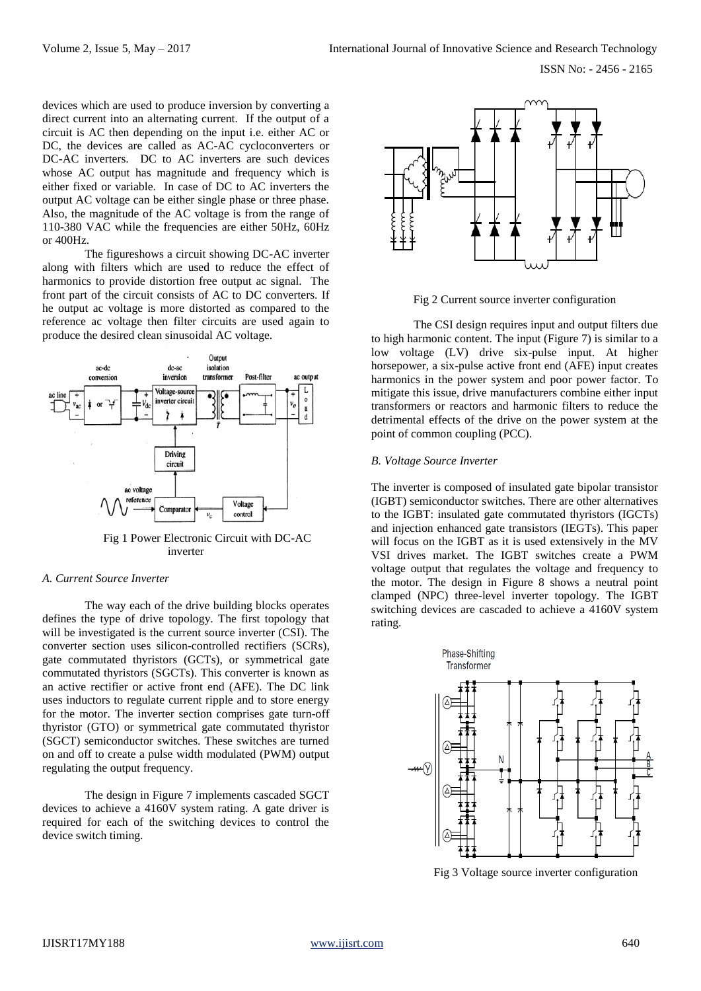devices which are used to produce inversion by converting a direct current into an alternating current. If the output of a circuit is AC then depending on the input i.e. either AC or DC, the devices are called as AC-AC cycloconverters or DC-AC inverters. DC to AC inverters are such devices whose AC output has magnitude and frequency which is either fixed or variable. In case of DC to AC inverters the output AC voltage can be either single phase or three phase. Also, the magnitude of the AC voltage is from the range of 110-380 VAC while the frequencies are either 50Hz, 60Hz or 400Hz.

The figureshows a circuit showing DC-AC inverter along with filters which are used to reduce the effect of harmonics to provide distortion free output ac signal. The front part of the circuit consists of AC to DC converters. If he output ac voltage is more distorted as compared to the reference ac voltage then filter circuits are used again to produce the desired clean sinusoidal AC voltage.



Fig 1 Power Electronic Circuit with DC-AC inverter

## *A. Current Source Inverter*

The way each of the drive building blocks operates defines the type of drive topology. The first topology that will be investigated is the current source inverter (CSI). The converter section uses silicon-controlled rectifiers (SCRs), gate commutated thyristors (GCTs), or symmetrical gate commutated thyristors (SGCTs). This converter is known as an active rectifier or active front end (AFE). The DC link uses inductors to regulate current ripple and to store energy for the motor. The inverter section comprises gate turn-off thyristor (GTO) or symmetrical gate commutated thyristor (SGCT) semiconductor switches. These switches are turned on and off to create a pulse width modulated (PWM) output regulating the output frequency.

The design in Figure 7 implements cascaded SGCT devices to achieve a 4160V system rating. A gate driver is required for each of the switching devices to control the device switch timing.



Fig 2 Current source inverter configuration

The CSI design requires input and output filters due to high harmonic content. The input (Figure 7) is similar to a low voltage (LV) drive six-pulse input. At higher horsepower, a six-pulse active front end (AFE) input creates harmonics in the power system and poor power factor. To mitigate this issue, drive manufacturers combine either input transformers or reactors and harmonic filters to reduce the detrimental effects of the drive on the power system at the point of common coupling (PCC).

## *B. Voltage Source Inverter*

The inverter is composed of insulated gate bipolar transistor (IGBT) semiconductor switches. There are other alternatives to the IGBT: insulated gate commutated thyristors (IGCTs) and injection enhanced gate transistors (IEGTs). This paper will focus on the IGBT as it is used extensively in the MV VSI drives market. The IGBT switches create a PWM voltage output that regulates the voltage and frequency to the motor. The design in Figure 8 shows a neutral point clamped (NPC) three-level inverter topology. The IGBT switching devices are cascaded to achieve a 4160V system rating.



Fig 3 Voltage source inverter configuration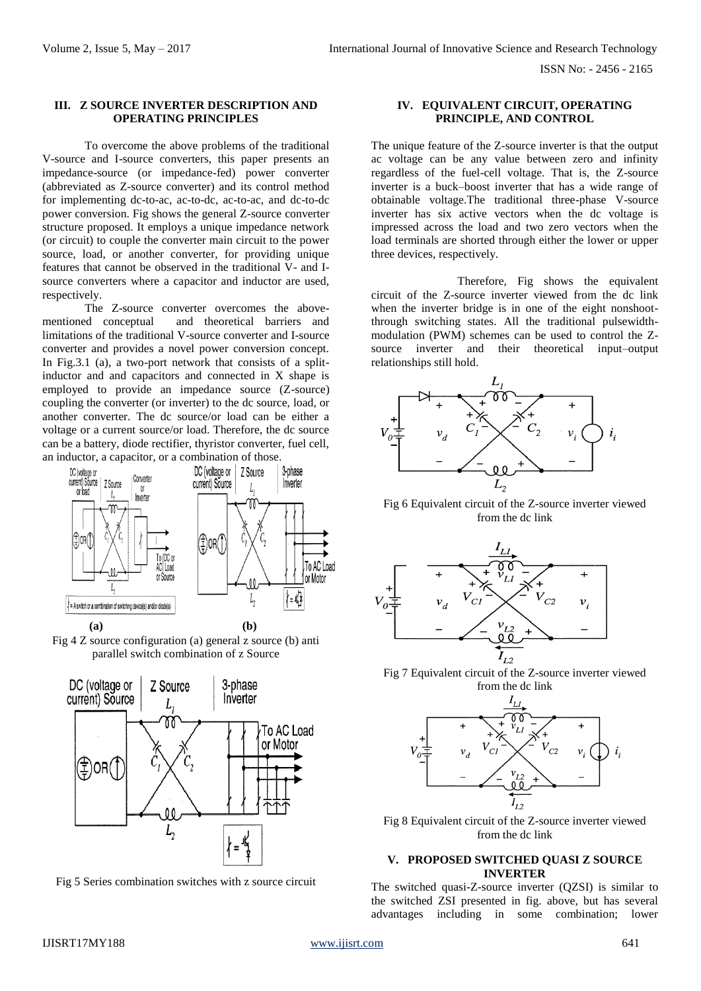ISSN No: - 2456 - 2165

## **III. Z SOURCE INVERTER DESCRIPTION AND OPERATING PRINCIPLES**

To overcome the above problems of the traditional V-source and I-source converters, this paper presents an impedance-source (or impedance-fed) power converter (abbreviated as Z-source converter) and its control method for implementing dc-to-ac, ac-to-dc, ac-to-ac, and dc-to-dc power conversion. Fig shows the general Z-source converter structure proposed. It employs a unique impedance network (or circuit) to couple the converter main circuit to the power source, load, or another converter, for providing unique features that cannot be observed in the traditional V- and Isource converters where a capacitor and inductor are used, respectively.

The Z-source converter overcomes the abovementioned conceptual and theoretical barriers and limitations of the traditional V-source converter and I-source converter and provides a novel power conversion concept. In Fig.3.1 (a), a two-port network that consists of a splitinductor and and capacitors and connected in X shape is employed to provide an impedance source (Z-source) coupling the converter (or inverter) to the dc source, load, or another converter. The dc source/or load can be either a voltage or a current source/or load. Therefore, the dc source can be a battery, diode rectifier, thyristor converter, fuel cell, an inductor, a capacitor, or a combination of those.



Fig 4 Z source configuration (a) general z source (b) anti parallel switch combination of z Source



Fig 5 Series combination switches with z source circuit

# **IV. EQUIVALENT CIRCUIT, OPERATING PRINCIPLE, AND CONTROL**

The unique feature of the Z-source inverter is that the output ac voltage can be any value between zero and infinity regardless of the fuel-cell voltage. That is, the Z-source inverter is a buck–boost inverter that has a wide range of obtainable voltage.The traditional three-phase V-source inverter has six active vectors when the dc voltage is impressed across the load and two zero vectors when the load terminals are shorted through either the lower or upper three devices, respectively.

Therefore, Fig shows the equivalent circuit of the Z-source inverter viewed from the dc link when the inverter bridge is in one of the eight nonshootthrough switching states. All the traditional pulsewidthmodulation (PWM) schemes can be used to control the Zsource inverter and their theoretical input–output relationships still hold.



Fig 6 Equivalent circuit of the Z-source inverter viewed from the dc link



Fig 7 Equivalent circuit of the Z-source inverter viewed from the dc link



Fig 8 Equivalent circuit of the Z-source inverter viewed from the dc link

## **V. PROPOSED SWITCHED QUASI Z SOURCE INVERTER**

The switched quasi-Z-source inverter (QZSI) is similar to the switched ZSI presented in fig. above, but has several advantages including in some combination; lower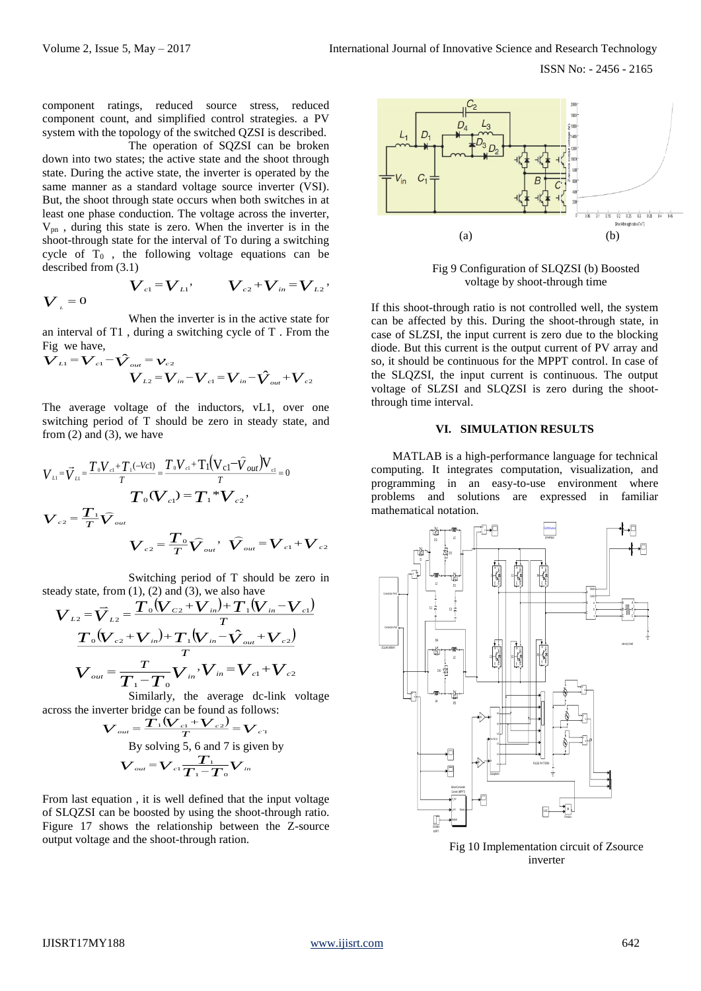component ratings, reduced source stress, reduced component count, and simplified control strategies. a PV system with the topology of the switched QZSI is described.

The operation of SQZSI can be broken down into two states; the active state and the shoot through state. During the active state, the inverter is operated by the same manner as a standard voltage source inverter (VSI). But, the shoot through state occurs when both switches in at least one phase conduction. The voltage across the inverter,  $V_{pn}$ , during this state is zero. When the inverter is in the shoot-through state for the interval of To during a switching cycle of  $T_0$ , the following voltage equations can be described from (3.1)

$$
V_{c1} = V_{L1}, \qquad V_{c2} + V_{in} = V_{L2},
$$

When the inverter is in the active state for an interval of T1 , during a switching cycle of T . From the Fig we have,

$$
V_{L1} = V_{c1} - \hat{V}_{out} = V_{c2}
$$
  

$$
V_{L2} = V_{in} - V_{c1} = V_{in} - \hat{V}_{out} + V_{c2}
$$

The average voltage of the inductors, vL1, over one switching period of T should be zero in steady state, and from  $(2)$  and  $(3)$ , we have

$$
V_{\mu} = \vec{V}_{\mu} = \frac{T_{0}V_{cl} + T_{1}(-V_{cl})}{T} = \frac{T_{0}V_{cl} + T_{1}(V_{cl} - \hat{V}_{out})V_{cl}}{T} = 0
$$
  

$$
T_{0}(V_{cl}) = T_{1} * V_{c2},
$$
  

$$
V_{c2} = \frac{T_{1}}{T}\hat{V}_{out}
$$
  

$$
V_{c2} = \frac{T_{0}}{T}\hat{V}_{out}, \quad \hat{V}_{out} = V_{c1} + V_{c2}
$$

Switching period of T should be zero in steady state, from  $(1)$ ,  $(2)$  and  $(3)$ , we also have

$$
V_{L2} = \vec{V}_{L2} = \frac{T_0 (V_{C2} + V_m) + T_1 (V_m - V_{c1})}{T}
$$

$$
\frac{T_0 (V_{c2} + V_m) + T_1 (V_m - \hat{V}_{out} + V_{c2})}{T}
$$

$$
V_{out} = \frac{T}{T_1 - T_0} V_m, V_m = V_{c1} + V_{c2}
$$

Similarly, the average dc-link voltage across the inverter bridge can be found as follows:

$$
V_{out} = \frac{\tilde{T}_1(V_{c1} + V_{c2})}{T} = V_{c1}
$$
  
By solving 5, 6 and 7 is given by

*V*<sub>out</sub> =  $V_{c1} \frac{T_1}{T_1 - T_0} V_{in}$  $=$   $\bm{V}_{c1} \frac{\bm{T}_1}{\bm{T}_1 - 1}$ 

From last equation , it is well defined that the input voltage of SLQZSI can be boosted by using the shoot-through ratio. Figure 17 shows the relationship between the Z-source output voltage and the shoot-through ration.



Fig 9 Configuration of SLQZSI (b) Boosted voltage by shoot-through time

If this shoot-through ratio is not controlled well, the system can be affected by this. During the shoot-through state, in case of SLZSI, the input current is zero due to the blocking diode. But this current is the output current of PV array and so, it should be continuous for the MPPT control. In case of the SLQZSI, the input current is continuous. The output voltage of SLZSI and SLQZSI is zero during the shootthrough time interval.

## **VI. SIMULATION RESULTS**

MATLAB is a high-performance language for technical computing. It integrates computation, visualization, and programming in an easy-to-use environment where problems and solutions are expressed in familiar mathematical notation.



Fig 10 Implementation circuit of Zsource inverter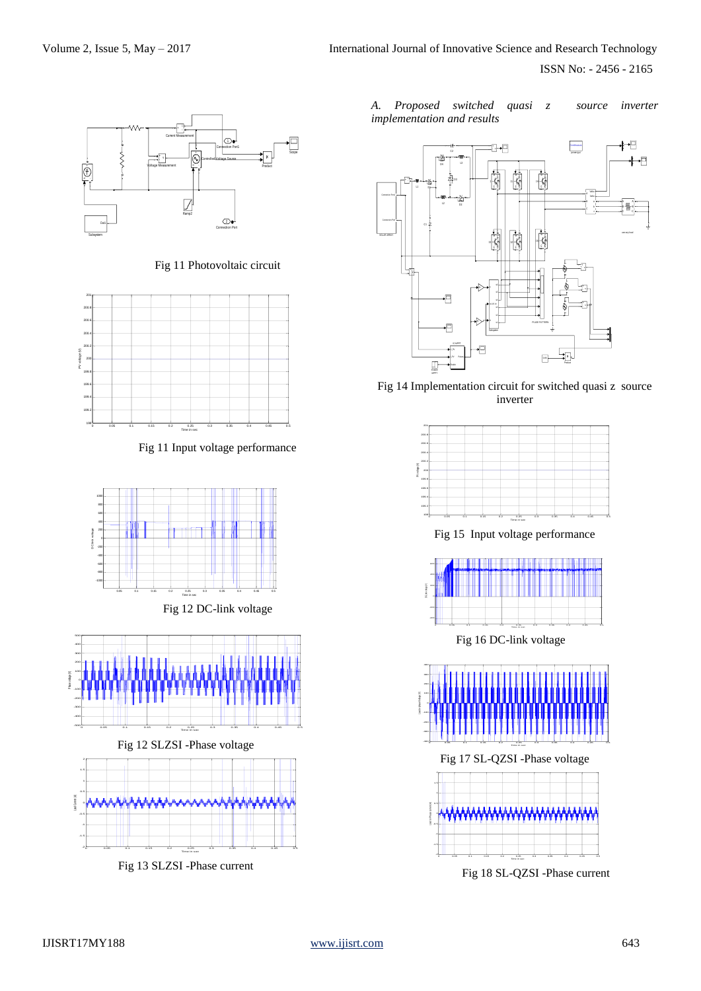ISSN No: - 2456 - 2165



Fig 11 Photovoltaic circuit



Fig 11 Input voltage performance



Fig 12 DC-link voltage



0 0.05 0.1 0.15 0.2 0.25 0.3 0.35 0.4 0.45 0.5 -2 -1.5 -1 -0.5 0  $0.5 -$ 1 1.5 2 Time in sec Load Current (A)<br>Time in secolul current (A)<br>Time in secolul current (A)

Fig 13 SLZSI -Phase current

*A. Proposed switched quasi z source inverter implementation and results*



Fig 14 Implementation circuit for switched quasi z source inverter



Fig 18 SL-QZSI -Phase current